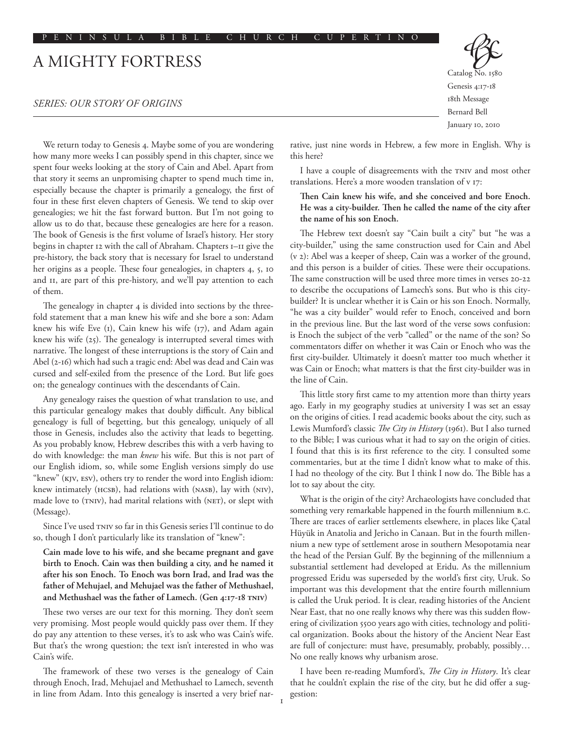# A Mighty Fortress

# *SERIES: Our Story of Origins*

We return today to Genesis 4. Maybe some of you are wondering how many more weeks I can possibly spend in this chapter, since we spent four weeks looking at the story of Cain and Abel. Apart from that story it seems an unpromising chapter to spend much time in, especially because the chapter is primarily a genealogy, the first of four in these first eleven chapters of Genesis. We tend to skip over genealogies; we hit the fast forward button. But I'm not going to allow us to do that, because these genealogies are here for a reason. The book of Genesis is the first volume of Israel's history. Her story begins in chapter 12 with the call of Abraham. Chapters 1–11 give the pre-history, the back story that is necessary for Israel to understand her origins as a people. These four genealogies, in chapters 4, 5, 10 and 11, are part of this pre-history, and we'll pay attention to each of them.

The genealogy in chapter 4 is divided into sections by the threefold statement that a man knew his wife and she bore a son: Adam knew his wife Eve (1), Cain knew his wife (17), and Adam again knew his wife (25). The genealogy is interrupted several times with narrative. The longest of these interruptions is the story of Cain and Abel (2-16) which had such a tragic end: Abel was dead and Cain was cursed and self-exiled from the presence of the Lord. But life goes on; the genealogy continues with the descendants of Cain.

Any genealogy raises the question of what translation to use, and this particular genealogy makes that doubly difficult. Any biblical genealogy is full of begetting, but this genealogy, uniquely of all those in Genesis, includes also the activity that leads to begetting. As you probably know, Hebrew describes this with a verb having to do with knowledge: the man *knew* his wife. But this is not part of our English idiom, so, while some English versions simply do use "knew" (KJV, ESV), others try to render the word into English idiom: knew intimately (HCSB), had relations with (NASB), lay with (NIV), made love to (TNIV), had marital relations with (NET), or slept with (Message).

Since I've used TNIV so far in this Genesis series I'll continue to do so, though I don't particularly like its translation of "knew":

**Cain made love to his wife, and she became pregnant and gave birth to Enoch. Cain was then building a city, and he named it after his son Enoch. To Enoch was born Irad, and Irad was the father of Mehujael, and Mehujael was the father of Methushael, and Methushael was the father of Lamech. (Gen 4:17-18 TNIV)**

These two verses are our text for this morning. They don't seem very promising. Most people would quickly pass over them. If they do pay any attention to these verses, it's to ask who was Cain's wife. But that's the wrong question; the text isn't interested in who was Cain's wife.

The framework of these two verses is the genealogy of Cain through Enoch, Irad, Mehujael and Methushael to Lamech, seventh in line from Adam. Into this genealogy is inserted a very brief narCatalog No. 1580 Genesis 4:17-18 18th Message Bernard Bell January 10, 2010

rative, just nine words in Hebrew, a few more in English. Why is this here?

I have a couple of disagreements with the TNIV and most other translations. Here's a more wooden translation of v 17:

**Then Cain knew his wife, and she conceived and bore Enoch. He was a city-builder. Then he called the name of the city after the name of his son Enoch.**

The Hebrew text doesn't say "Cain built a city" but "he was a city-builder," using the same construction used for Cain and Abel (v 2): Abel was a keeper of sheep, Cain was a worker of the ground, and this person is a builder of cities. These were their occupations. The same construction will be used three more times in verses 20-22 to describe the occupations of Lamech's sons. But who is this citybuilder? It is unclear whether it is Cain or his son Enoch. Normally, "he was a city builder" would refer to Enoch, conceived and born in the previous line. But the last word of the verse sows confusion: is Enoch the subject of the verb "called" or the name of the son? So commentators differ on whether it was Cain or Enoch who was the first city-builder. Ultimately it doesn't matter too much whether it was Cain or Enoch; what matters is that the first city-builder was in the line of Cain.

This little story first came to my attention more than thirty years ago. Early in my geography studies at university I was set an essay on the origins of cities. I read academic books about the city, such as Lewis Mumford's classic *The City in History* (1961). But I also turned to the Bible; I was curious what it had to say on the origin of cities. I found that this is its first reference to the city. I consulted some commentaries, but at the time I didn't know what to make of this. I had no theology of the city. But I think I now do. The Bible has a lot to say about the city.

What is the origin of the city? Archaeologists have concluded that something very remarkable happened in the fourth millennium B.C. There are traces of earlier settlements elsewhere, in places like Çatal Hüyük in Anatolia and Jericho in Canaan. But in the fourth millennium a new type of settlement arose in southern Mesopotamia near the head of the Persian Gulf. By the beginning of the millennium a substantial settlement had developed at Eridu. As the millennium progressed Eridu was superseded by the world's first city, Uruk. So important was this development that the entire fourth millennium is called the Uruk period. It is clear, reading histories of the Ancient Near East, that no one really knows why there was this sudden flowering of civilization 5500 years ago with cities, technology and political organization. Books about the history of the Ancient Near East are full of conjecture: must have, presumably, probably, possibly… No one really knows why urbanism arose.

I have been re-reading Mumford's, *The City in History*. It's clear that he couldn't explain the rise of the city, but he did offer a suggestion: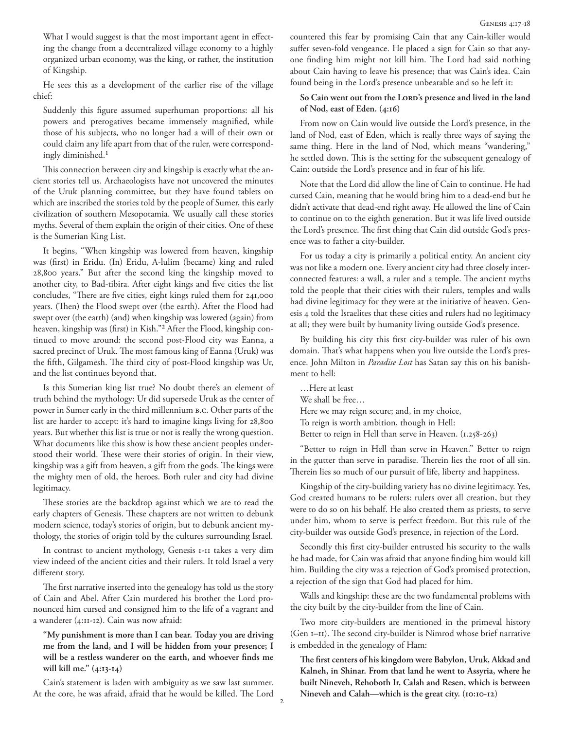What I would suggest is that the most important agent in effecting the change from a decentralized village economy to a highly organized urban economy, was the king, or rather, the institution of Kingship.

He sees this as a development of the earlier rise of the village chief:

Suddenly this figure assumed superhuman proportions: all his powers and prerogatives became immensely magnified, while those of his subjects, who no longer had a will of their own or could claim any life apart from that of the ruler, were correspondingly diminished.1

This connection between city and kingship is exactly what the ancient stories tell us. Archaeologists have not uncovered the minutes of the Uruk planning committee, but they have found tablets on which are inscribed the stories told by the people of Sumer, this early civilization of southern Mesopotamia. We usually call these stories myths. Several of them explain the origin of their cities. One of these is the Sumerian King List.

It begins, "When kingship was lowered from heaven, kingship was (first) in Eridu. (In) Eridu, A-lulim (became) king and ruled 28,800 years." But after the second king the kingship moved to another city, to Bad-tibira. After eight kings and five cities the list concludes, "There are five cities, eight kings ruled them for 241,000 years. (Then) the Flood swept over (the earth). After the Flood had swept over (the earth) (and) when kingship was lowered (again) from heaven, kingship was (first) in Kish."2 After the Flood, kingship continued to move around: the second post-Flood city was Eanna, a sacred precinct of Uruk. The most famous king of Eanna (Uruk) was the fifth, Gilgamesh. The third city of post-Flood kingship was Ur, and the list continues beyond that.

Is this Sumerian king list true? No doubt there's an element of truth behind the mythology: Ur did supersede Uruk as the center of power in Sumer early in the third millennium B.C. Other parts of the list are harder to accept: it's hard to imagine kings living for 28,800 years. But whether this list is true or not is really the wrong question. What documents like this show is how these ancient peoples understood their world. These were their stories of origin. In their view, kingship was a gift from heaven, a gift from the gods. The kings were the mighty men of old, the heroes. Both ruler and city had divine legitimacy.

These stories are the backdrop against which we are to read the early chapters of Genesis. These chapters are not written to debunk modern science, today's stories of origin, but to debunk ancient mythology, the stories of origin told by the cultures surrounding Israel.

In contrast to ancient mythology, Genesis 1-11 takes a very dim view indeed of the ancient cities and their rulers. It told Israel a very different story.

The first narrative inserted into the genealogy has told us the story of Cain and Abel. After Cain murdered his brother the Lord pronounced him cursed and consigned him to the life of a vagrant and a wanderer (4:11-12). Cain was now afraid:

**"My punishment is more than I can bear. Today you are driving me from the land, and I will be hidden from your presence; I will be a restless wanderer on the earth, and whoever finds me will kill me." (4:13-14)**

Cain's statement is laden with ambiguity as we saw last summer. At the core, he was afraid, afraid that he would be killed. The Lord countered this fear by promising Cain that any Cain-killer would suffer seven-fold vengeance. He placed a sign for Cain so that anyone finding him might not kill him. The Lord had said nothing about Cain having to leave his presence; that was Cain's idea. Cain found being in the Lord's presence unbearable and so he left it:

### So Cain went out from the Lord's presence and lived in the land **of Nod, east of Eden. (4:16)**

From now on Cain would live outside the Lord's presence, in the land of Nod, east of Eden, which is really three ways of saying the same thing. Here in the land of Nod, which means "wandering," he settled down. This is the setting for the subsequent genealogy of Cain: outside the Lord's presence and in fear of his life.

Note that the Lord did allow the line of Cain to continue. He had cursed Cain, meaning that he would bring him to a dead-end but he didn't activate that dead-end right away. He allowed the line of Cain to continue on to the eighth generation. But it was life lived outside the Lord's presence. The first thing that Cain did outside God's presence was to father a city-builder.

For us today a city is primarily a political entity. An ancient city was not like a modern one. Every ancient city had three closely interconnected features: a wall, a ruler and a temple. The ancient myths told the people that their cities with their rulers, temples and walls had divine legitimacy for they were at the initiative of heaven. Genesis 4 told the Israelites that these cities and rulers had no legitimacy at all; they were built by humanity living outside God's presence.

By building his city this first city-builder was ruler of his own domain. That's what happens when you live outside the Lord's presence. John Milton in *Paradise Lost* has Satan say this on his banishment to hell:

…Here at least We shall be free… Here we may reign secure; and, in my choice, To reign is worth ambition, though in Hell: Better to reign in Hell than serve in Heaven. (1.258-263)

"Better to reign in Hell than serve in Heaven." Better to reign in the gutter than serve in paradise. Therein lies the root of all sin. Therein lies so much of our pursuit of life, liberty and happiness.

Kingship of the city-building variety has no divine legitimacy. Yes, God created humans to be rulers: rulers over all creation, but they were to do so on his behalf. He also created them as priests, to serve under him, whom to serve is perfect freedom. But this rule of the city-builder was outside God's presence, in rejection of the Lord.

Secondly this first city-builder entrusted his security to the walls he had made, for Cain was afraid that anyone finding him would kill him. Building the city was a rejection of God's promised protection, a rejection of the sign that God had placed for him.

Walls and kingship: these are the two fundamental problems with the city built by the city-builder from the line of Cain.

Two more city-builders are mentioned in the primeval history (Gen 1–11). The second city-builder is Nimrod whose brief narrative is embedded in the genealogy of Ham:

**The first centers of his kingdom were Babylon, Uruk, Akkad and Kalneh, in Shinar. From that land he went to Assyria, where he built Nineveh, Rehoboth Ir, Calah and Resen, which is between Nineveh and Calah—which is the great city. (10:10-12)**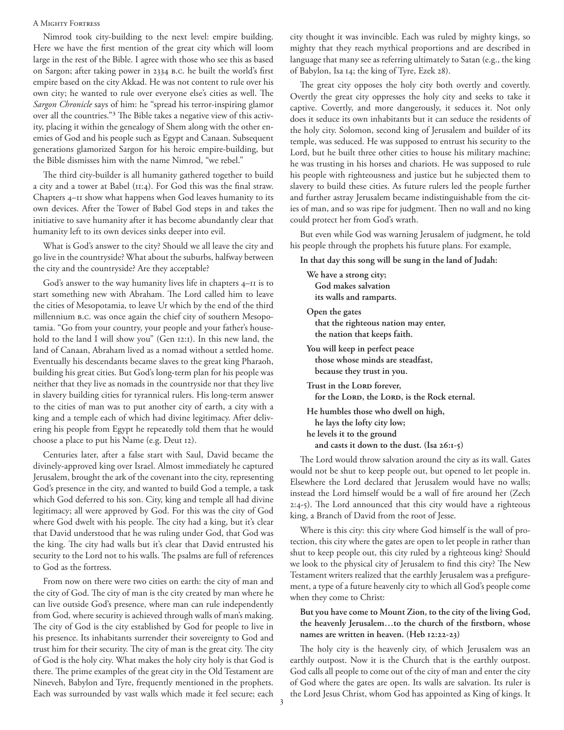#### A Mighty Fortress

Nimrod took city-building to the next level: empire building. Here we have the first mention of the great city which will loom large in the rest of the Bible. I agree with those who see this as based on Sargon; after taking power in 2334 B.C. he built the world's first empire based on the city Akkad. He was not content to rule over his own city; he wanted to rule over everyone else's cities as well. The *Sargon Chronicle* says of him: he "spread his terror-inspiring glamor over all the countries."3 The Bible takes a negative view of this activity, placing it within the genealogy of Shem along with the other enemies of God and his people such as Egypt and Canaan. Subsequent generations glamorized Sargon for his heroic empire-building, but the Bible dismisses him with the name Nimrod, "we rebel."

The third city-builder is all humanity gathered together to build a city and a tower at Babel (11:4). For God this was the final straw. Chapters 4–11 show what happens when God leaves humanity to its own devices. After the Tower of Babel God steps in and takes the initiative to save humanity after it has become abundantly clear that humanity left to its own devices sinks deeper into evil.

What is God's answer to the city? Should we all leave the city and go live in the countryside? What about the suburbs, halfway between the city and the countryside? Are they acceptable?

God's answer to the way humanity lives life in chapters 4–11 is to start something new with Abraham. The Lord called him to leave the cities of Mesopotamia, to leave Ur which by the end of the third millennium B.C. was once again the chief city of southern Mesopotamia. "Go from your country, your people and your father's household to the land I will show you" (Gen 12:1). In this new land, the land of Canaan, Abraham lived as a nomad without a settled home. Eventually his descendants became slaves to the great king Pharaoh, building his great cities. But God's long-term plan for his people was neither that they live as nomads in the countryside nor that they live in slavery building cities for tyrannical rulers. His long-term answer to the cities of man was to put another city of earth, a city with a king and a temple each of which had divine legitimacy. After delivering his people from Egypt he repeatedly told them that he would choose a place to put his Name (e.g. Deut 12).

Centuries later, after a false start with Saul, David became the divinely-approved king over Israel. Almost immediately he captured Jerusalem, brought the ark of the covenant into the city, representing God's presence in the city, and wanted to build God a temple, a task which God deferred to his son. City, king and temple all had divine legitimacy; all were approved by God. For this was the city of God where God dwelt with his people. The city had a king, but it's clear that David understood that he was ruling under God, that God was the king. The city had walls but it's clear that David entrusted his security to the Lord not to his walls. The psalms are full of references to God as the fortress.

From now on there were two cities on earth: the city of man and the city of God. The city of man is the city created by man where he can live outside God's presence, where man can rule independently from God, where security is achieved through walls of man's making. The city of God is the city established by God for people to live in his presence. Its inhabitants surrender their sovereignty to God and trust him for their security. The city of man is the great city. The city of God is the holy city. What makes the holy city holy is that God is there. The prime examples of the great city in the Old Testament are Nineveh, Babylon and Tyre, frequently mentioned in the prophets. Each was surrounded by vast walls which made it feel secure; each city thought it was invincible. Each was ruled by mighty kings, so mighty that they reach mythical proportions and are described in language that many see as referring ultimately to Satan (e.g., the king of Babylon, Isa 14; the king of Tyre, Ezek 28).

The great city opposes the holy city both overtly and covertly. Overtly the great city oppresses the holy city and seeks to take it captive. Covertly, and more dangerously, it seduces it. Not only does it seduce its own inhabitants but it can seduce the residents of the holy city. Solomon, second king of Jerusalem and builder of its temple, was seduced. He was supposed to entrust his security to the Lord, but he built three other cities to house his military machine; he was trusting in his horses and chariots. He was supposed to rule his people with righteousness and justice but he subjected them to slavery to build these cities. As future rulers led the people further and further astray Jerusalem became indistinguishable from the cities of man, and so was ripe for judgment. Then no wall and no king could protect her from God's wrath.

But even while God was warning Jerusalem of judgment, he told his people through the prophets his future plans. For example,

**In that day this song will be sung in the land of Judah:**

**We have a strong city; God makes salvation its walls and ramparts. Open the gates that the righteous nation may enter, the nation that keeps faith. You will keep in perfect peace those whose minds are steadfast, because they trust in you.** Trust in the LORD forever, for the LORD, the LORD, is the Rock eternal. **He humbles those who dwell on high, he lays the lofty city low; he levels it to the ground and casts it down to the dust. (Isa 26:1-5)**

The Lord would throw salvation around the city as its wall. Gates would not be shut to keep people out, but opened to let people in. Elsewhere the Lord declared that Jerusalem would have no walls; instead the Lord himself would be a wall of fire around her (Zech 2:4-5). The Lord announced that this city would have a righteous king, a Branch of David from the root of Jesse.

Where is this city: this city where God himself is the wall of protection, this city where the gates are open to let people in rather than shut to keep people out, this city ruled by a righteous king? Should we look to the physical city of Jerusalem to find this city? The New Testament writers realized that the earthly Jerusalem was a prefigurement, a type of a future heavenly city to which all God's people come when they come to Christ:

# **But you have come to Mount Zion, to the city of the living God, the heavenly Jerusalem…to the church of the firstborn, whose names are written in heaven. (Heb 12:22-23)**

The holy city is the heavenly city, of which Jerusalem was an earthly outpost. Now it is the Church that is the earthly outpost. God calls all people to come out of the city of man and enter the city of God where the gates are open. Its walls are salvation. Its ruler is the Lord Jesus Christ, whom God has appointed as King of kings. It